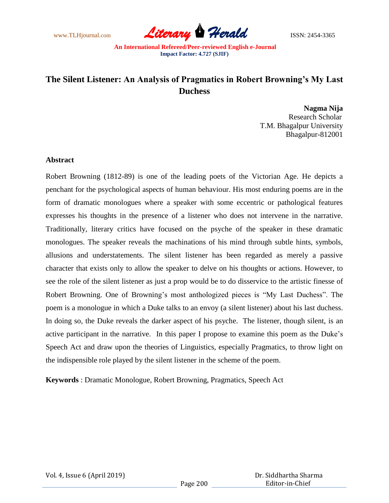

# **The Silent Listener: An Analysis of Pragmatics in Robert Browning's My Last Duchess**

**Nagma Nija** Research Scholar T.M. Bhagalpur University Bhagalpur-812001

### **Abstract**

Robert Browning (1812-89) is one of the leading poets of the Victorian Age. He depicts a penchant for the psychological aspects of human behaviour. His most enduring poems are in the form of dramatic monologues where a speaker with some eccentric or pathological features expresses his thoughts in the presence of a listener who does not intervene in the narrative. Traditionally, literary critics have focused on the psyche of the speaker in these dramatic monologues. The speaker reveals the machinations of his mind through subtle hints, symbols, allusions and understatements. The silent listener has been regarded as merely a passive character that exists only to allow the speaker to delve on his thoughts or actions. However, to see the role of the silent listener as just a prop would be to do disservice to the artistic finesse of Robert Browning. One of Browning's most anthologized pieces is "My Last Duchess". The poem is a monologue in which a Duke talks to an envoy (a silent listener) about his last duchess. In doing so, the Duke reveals the darker aspect of his psyche. The listener, though silent, is an active participant in the narrative. In this paper I propose to examine this poem as the Duke's Speech Act and draw upon the theories of Linguistics, especially Pragmatics, to throw light on the indispensible role played by the silent listener in the scheme of the poem.

**Keywords** : Dramatic Monologue, Robert Browning, Pragmatics, Speech Act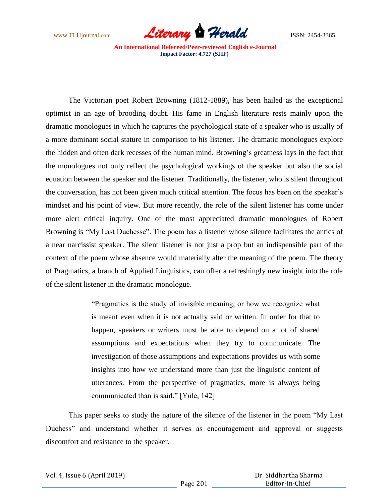

The Victorian poet Robert Browning (1812-1889), has been hailed as the exceptional optimist in an age of brooding doubt. His fame in English literature rests mainly upon the dramatic monologues in which he captures the psychological state of a speaker who is usually of a more dominant social stature in comparison to his listener. The dramatic monologues explore the hidden and often dark recesses of the human mind. Browning's greatness lays in the fact that the monologues not only reflect the psychological workings of the speaker but also the social equation between the speaker and the listener. Traditionally, the listener, who is silent throughout the conversation, has not been given much critical attention. The focus has been on the speaker's mindset and his point of view. But more recently, the role of the silent listener has come under more alert critical inquiry. One of the most appreciated dramatic monologues of Robert Browning is "My Last Duchesse". The poem has a listener whose silence facilitates the antics of a near narcissist speaker. The silent listener is not just a prop but an indispensible part of the context of the poem whose absence would materially alter the meaning of the poem. The theory of Pragmatics, a branch of Applied Linguistics, can offer a refreshingly new insight into the role of the silent listener in the dramatic monologue.

> ―Pragmatics is the study of invisible meaning, or how we recognize what is meant even when it is not actually said or written. In order for that to happen, speakers or writers must be able to depend on a lot of shared assumptions and expectations when they try to communicate. The investigation of those assumptions and expectations provides us with some insights into how we understand more than just the linguistic content of utterances. From the perspective of pragmatics, more is always being communicated than is said." [Yule, 142]

This paper seeks to study the nature of the silence of the listener in the poem "My Last" Duchess" and understand whether it serves as encouragement and approval or suggests discomfort and resistance to the speaker.

| Vol. 4, Issue 6 (April 2019) |  |  |  |
|------------------------------|--|--|--|
|------------------------------|--|--|--|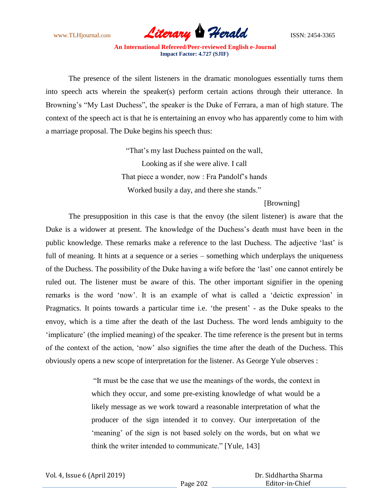

The presence of the silent listeners in the dramatic monologues essentially turns them into speech acts wherein the speaker(s) perform certain actions through their utterance. In Browning's "My Last Duchess", the speaker is the Duke of Ferrara, a man of high stature. The context of the speech act is that he is entertaining an envoy who has apparently come to him with a marriage proposal. The Duke begins his speech thus:

> ―That's my last Duchess painted on the wall, Looking as if she were alive. I call That piece a wonder, now : Fra Pandolf's hands Worked busily a day, and there she stands."

> > [Browning]

The presupposition in this case is that the envoy (the silent listener) is aware that the Duke is a widower at present. The knowledge of the Duchess's death must have been in the public knowledge. These remarks make a reference to the last Duchess. The adjective ‗last' is full of meaning. It hints at a sequence or a series – something which underplays the uniqueness of the Duchess. The possibility of the Duke having a wife before the ‗last' one cannot entirely be ruled out. The listener must be aware of this. The other important signifier in the opening remarks is the word 'now'. It is an example of what is called a 'deictic expression' in Pragmatics. It points towards a particular time i.e. 'the present' - as the Duke speaks to the envoy, which is a time after the death of the last Duchess. The word lends ambiguity to the ‗implicature' (the implied meaning) of the speaker. The time reference is the present but in terms of the context of the action, 'now' also signifies the time after the death of the Duchess. This obviously opens a new scope of interpretation for the listener. As George Yule observes :

> ―It must be the case that we use the meanings of the words, the context in which they occur, and some pre-existing knowledge of what would be a likely message as we work toward a reasonable interpretation of what the producer of the sign intended it to convey. Our interpretation of the ‗meaning' of the sign is not based solely on the words, but on what we think the writer intended to communicate." [Yule, 143]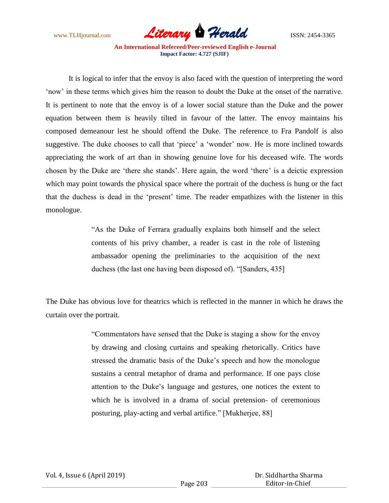

It is logical to infer that the envoy is also faced with the question of interpreting the word ‗now' in these terms which gives him the reason to doubt the Duke at the onset of the narrative. It is pertinent to note that the envoy is of a lower social stature than the Duke and the power equation between them is heavily tilted in favour of the latter. The envoy maintains his composed demeanour lest he should offend the Duke. The reference to Fra Pandolf is also suggestive. The duke chooses to call that 'piece' a 'wonder' now. He is more inclined towards appreciating the work of art than in showing genuine love for his deceased wife. The words chosen by the Duke are 'there she stands'. Here again, the word 'there' is a deictic expression which may point towards the physical space where the portrait of the duchess is hung or the fact that the duchess is dead in the 'present' time. The reader empathizes with the listener in this monologue.

> ―As the Duke of Ferrara gradually explains both himself and the select contents of his privy chamber, a reader is cast in the role of listening ambassador opening the preliminaries to the acquisition of the next duchess (the last one having been disposed of). "[Sanders, 435]

The Duke has obvious love for theatrics which is reflected in the manner in which he draws the curtain over the portrait.

> ―Commentators have sensed that the Duke is staging a show for the envoy by drawing and closing curtains and speaking rhetorically. Critics have stressed the dramatic basis of the Duke's speech and how the monologue sustains a central metaphor of drama and performance. If one pays close attention to the Duke's language and gestures, one notices the extent to which he is involved in a drama of social pretension- of ceremonious posturing, play-acting and verbal artifice." [Mukherjee, 88]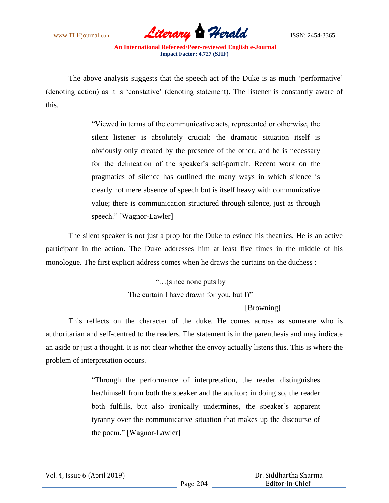

The above analysis suggests that the speech act of the Duke is as much 'performative' (denoting action) as it is ‗constative' (denoting statement). The listener is constantly aware of this.

> ―Viewed in terms of the communicative acts, represented or otherwise, the silent listener is absolutely crucial; the dramatic situation itself is obviously only created by the presence of the other, and he is necessary for the delineation of the speaker's self-portrait. Recent work on the pragmatics of silence has outlined the many ways in which silence is clearly not mere absence of speech but is itself heavy with communicative value; there is communication structured through silence, just as through speech." [Wagnor-Lawler]

The silent speaker is not just a prop for the Duke to evince his theatrics. He is an active participant in the action. The Duke addresses him at least five times in the middle of his monologue. The first explicit address comes when he draws the curtains on the duchess :

> ―…(since none puts by The curtain I have drawn for you, but I)"

## [Browning]

This reflects on the character of the duke. He comes across as someone who is authoritarian and self-centred to the readers. The statement is in the parenthesis and may indicate an aside or just a thought. It is not clear whether the envoy actually listens this. This is where the problem of interpretation occurs.

> ―Through the performance of interpretation, the reader distinguishes her/himself from both the speaker and the auditor: in doing so, the reader both fulfills, but also ironically undermines, the speaker's apparent tyranny over the communicative situation that makes up the discourse of the poem." [Wagnor-Lawler]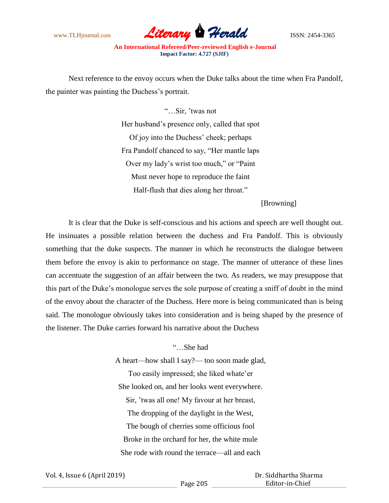

Next reference to the envoy occurs when the Duke talks about the time when Fra Pandolf, the painter was painting the Duchess's portrait.

> ―…Sir, 'twas not Her husband's presence only, called that spot Of joy into the Duchess' cheek; perhaps Fra Pandolf chanced to say, "Her mantle laps Over my lady's wrist too much," or "Paint" Must never hope to reproduce the faint Half-flush that dies along her throat."

> > [Browning]

It is clear that the Duke is self-conscious and his actions and speech are well thought out. He insinuates a possible relation between the duchess and Fra Pandolf. This is obviously something that the duke suspects. The manner in which he reconstructs the dialogue between them before the envoy is akin to performance on stage. The manner of utterance of these lines can accentuate the suggestion of an affair between the two. As readers, we may presuppose that this part of the Duke's monologue serves the sole purpose of creating a sniff of doubt in the mind of the envoy about the character of the Duchess. Here more is being communicated than is being said. The monologue obviously takes into consideration and is being shaped by the presence of the listener. The Duke carries forward his narrative about the Duchess

> ―…She had A heart—how shall I say?— too soon made glad, Too easily impressed; she liked whate'er She looked on, and her looks went everywhere. Sir, 'twas all one! My favour at her breast, The dropping of the daylight in the West, The bough of cherries some officious fool Broke in the orchard for her, the white mule She rode with round the terrace—all and each

 Dr. Siddhartha Sharma Editor-in-Chief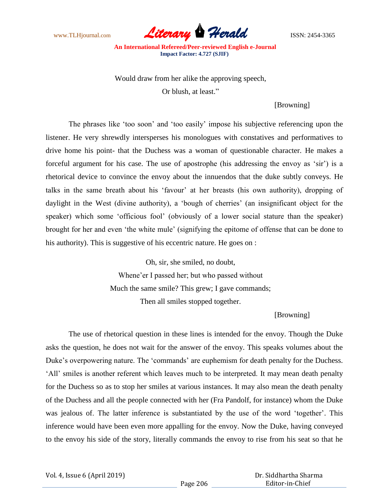

Would draw from her alike the approving speech,

Or blush, at least."

[Browning]

The phrases like 'too soon' and 'too easily' impose his subjective referencing upon the listener. He very shrewdly intersperses his monologues with constatives and performatives to drive home his point- that the Duchess was a woman of questionable character. He makes a forceful argument for his case. The use of apostrophe (his addressing the envoy as 'sir') is a rhetorical device to convince the envoy about the innuendos that the duke subtly conveys. He talks in the same breath about his 'favour' at her breasts (his own authority), dropping of daylight in the West (divine authority), a 'bough of cherries' (an insignificant object for the speaker) which some 'officious fool' (obviously of a lower social stature than the speaker) brought for her and even 'the white mule' (signifying the epitome of offense that can be done to his authority). This is suggestive of his eccentric nature. He goes on :

> Oh, sir, she smiled, no doubt, Whene'er I passed her; but who passed without Much the same smile? This grew; I gave commands; Then all smiles stopped together.

## [Browning]

The use of rhetorical question in these lines is intended for the envoy. Though the Duke asks the question, he does not wait for the answer of the envoy. This speaks volumes about the Duke's overpowering nature. The 'commands' are euphemism for death penalty for the Duchess. ‗All' smiles is another referent which leaves much to be interpreted. It may mean death penalty for the Duchess so as to stop her smiles at various instances. It may also mean the death penalty of the Duchess and all the people connected with her (Fra Pandolf, for instance) whom the Duke was jealous of. The latter inference is substantiated by the use of the word 'together'. This inference would have been even more appalling for the envoy. Now the Duke, having conveyed to the envoy his side of the story, literally commands the envoy to rise from his seat so that he

Vol. 4, Issue 6 (April 2019)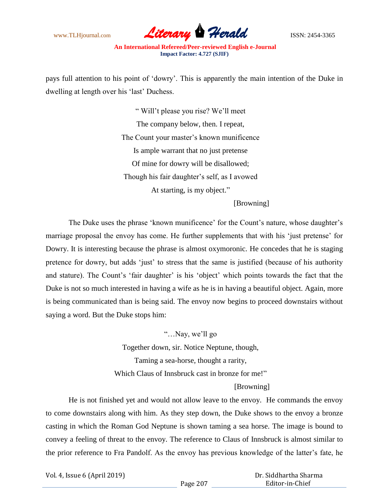

pays full attention to his point of 'dowry'. This is apparently the main intention of the Duke in dwelling at length over his 'last' Duchess.

> ― Will't please you rise? We'll meet The company below, then. I repeat, The Count your master's known munificence Is ample warrant that no just pretense Of mine for dowry will be disallowed; Though his fair daughter's self, as I avowed At starting, is my object."

> > [Browning]

The Duke uses the phrase 'known munificence' for the Count's nature, whose daughter's marriage proposal the envoy has come. He further supplements that with his 'just pretense' for Dowry. It is interesting because the phrase is almost oxymoronic. He concedes that he is staging pretence for dowry, but adds 'just' to stress that the same is justified (because of his authority and stature). The Count's 'fair daughter' is his 'object' which points towards the fact that the Duke is not so much interested in having a wife as he is in having a beautiful object. Again, more is being communicated than is being said. The envoy now begins to proceed downstairs without saying a word. But the Duke stops him:

> ―…Nay, we'll go Together down, sir. Notice Neptune, though, Taming a sea-horse, thought a rarity, Which Claus of Innsbruck cast in bronze for me!" [Browning]

He is not finished yet and would not allow leave to the envoy. He commands the envoy to come downstairs along with him. As they step down, the Duke shows to the envoy a bronze casting in which the Roman God Neptune is shown taming a sea horse. The image is bound to convey a feeling of threat to the envoy. The reference to Claus of Innsbruck is almost similar to the prior reference to Fra Pandolf. As the envoy has previous knowledge of the latter's fate, he

Vol. 4, Issue 6 (April 2019)

 Dr. Siddhartha Sharma Editor-in-Chief